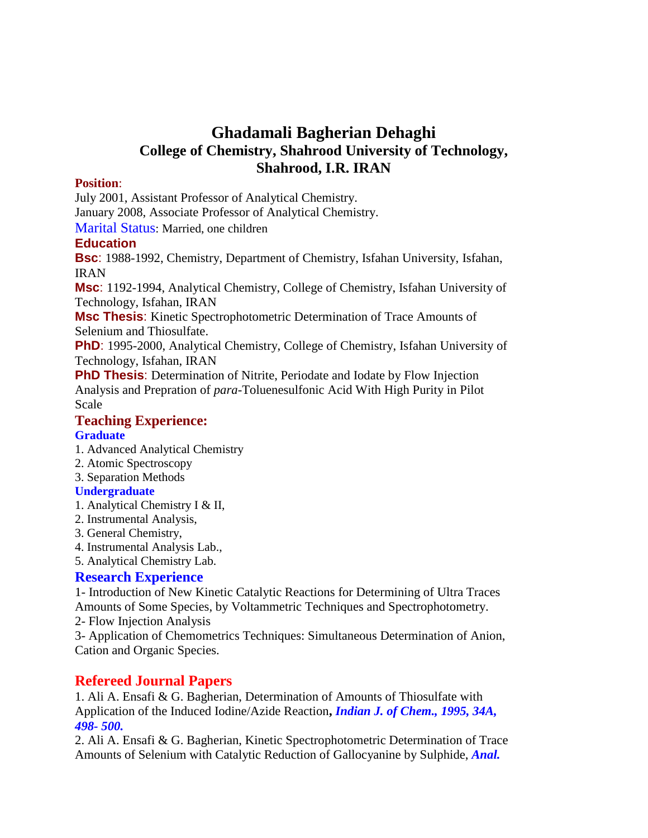# **Ghadamali Bagherian Dehaghi College of Chemistry, Shahrood University of Technology, Shahrood, I.R. IRAN**

### **Position**:

July 2001, Assistant Professor of Analytical Chemistry.

January 2008, Associate Professor of Analytical Chemistry.

Marital Status: Married, one children

# **Education**

**Bsc**: 1988-1992, Chemistry, Department of Chemistry, Isfahan University, Isfahan, IRAN

**Msc**: 1192-1994, Analytical Chemistry, College of Chemistry, Isfahan University of Technology, Isfahan, IRAN

**Msc Thesis**: Kinetic Spectrophotometric Determination of Trace Amounts of Selenium and Thiosulfate.

**PhD**: 1995-2000, Analytical Chemistry, College of Chemistry, Isfahan University of Technology, Isfahan, IRAN

**PhD Thesis**: Determination of Nitrite, Periodate and Iodate by Flow Injection Analysis and Prepration of *para*-Toluenesulfonic Acid With High Purity in Pilot Scale

# **Teaching Experience:**

# **Graduate**

- 1. Advanced Analytical Chemistry
- 2. Atomic Spectroscopy
- 3. Separation Methods

# **Undergraduate**

- 1. Analytical Chemistry I & II,
- 2. Instrumental Analysis,
- 3. General Chemistry,
- 4. Instrumental Analysis Lab.,
- 5. Analytical Chemistry Lab.

# **Research Experience**

1- Introduction of New Kinetic Catalytic Reactions for Determining of Ultra Traces Amounts of Some Species, by Voltammetric Techniques and Spectrophotometry.

2- Flow Injection Analysis

3- Application of Chemometrics Techniques: Simultaneous Determination of Anion, Cation and Organic Species.

# **Refereed Journal Papers**

1. Ali A. Ensafi & G. Bagherian, Determination of Amounts of Thiosulfate with Application of the Induced Iodine/Azide Reaction**,** *Indian J. of Chem., 1995, 34A, 498- 500.*

2. Ali A. Ensafi & G. Bagherian, Kinetic Spectrophotometric Determination of Trace Amounts of Selenium with Catalytic Reduction of Gallocyanine by Sulphide, *Anal.*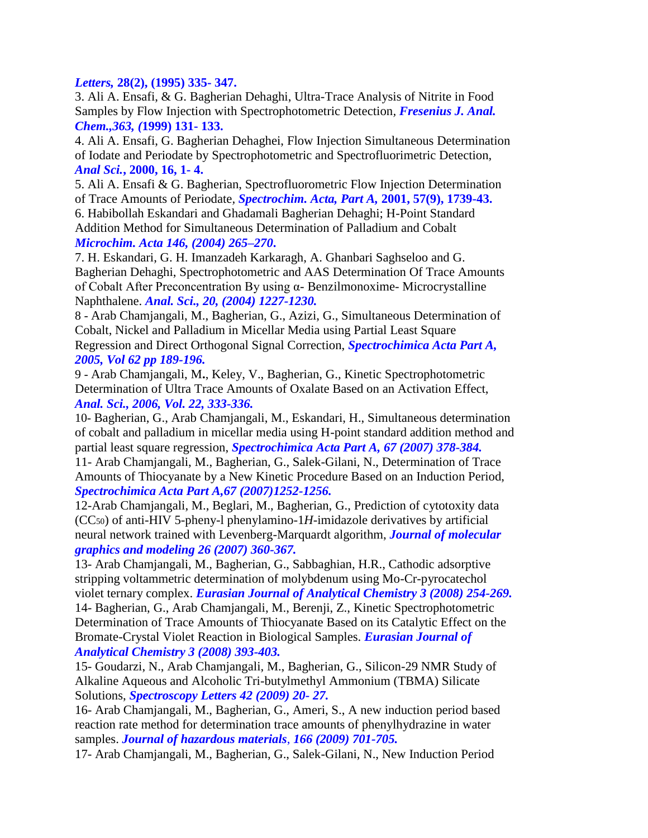#### *Letters,* **28(2), (1995) 335- 347.**

3. Ali A. Ensafi, & G. Bagherian Dehaghi, Ultra-Trace Analysis of Nitrite in Food Samples by Flow Injection with Spectrophotometric Detection*, Fresenius J. Anal. Chem.,363, (***1999) 131- 133.**

4. Ali A. Ensafi, G. Bagherian Dehaghei, Flow Injection Simultaneous Determination of Iodate and Periodate by Spectrophotometric and Spectrofluorimetric Detection, *Anal Sci.***, 2000, 16, 1- 4.**

5. Ali A. Ensafi & G. Bagherian, Spectrofluorometric Flow Injection Determination of Trace Amounts of Periodate*, Spectrochim. Acta, Part A,* **2001, 57(9), 1739-43.**

6. Habibollah Eskandari and Ghadamali Bagherian Dehaghi; H-Point Standard Addition Method for Simultaneous Determination of Palladium and Cobalt *Microchim. Acta 146, (2004) 265–270***.**

7. H. Eskandari, G. H. Imanzadeh Karkaragh, A. Ghanbari Saghseloo and G. Bagherian Dehaghi, Spectrophotometric and AAS Determination Of Trace Amounts of Cobalt After Preconcentration By using α- Benzilmonoxime- Microcrystalline Naphthalene. *Anal. Sci., 20, (2004) 1227-1230.*

8 - Arab Chamjangali, M., Bagherian, G., Azizi, G., Simultaneous Determination of Cobalt, Nickel and Palladium in Micellar Media using Partial Least Square Regression and Direct Orthogonal Signal Correction, *Spectrochimica Acta Part A, 2005, Vol 62 pp 189-196.*

9 - Arab Chamjangali, M**.**, Keley, V., Bagherian, G., Kinetic Spectrophotometric Determination of Ultra Trace Amounts of Oxalate Based on an Activation Effect, *Anal. Sci., 2006, Vol. 22, 333-336.*

10- Bagherian, G., Arab Chamjangali, M., Eskandari, H., Simultaneous determination of cobalt and palladium in micellar media using H-point standard addition method and partial least square regression, *Spectrochimica Acta Part A, 67 (2007) 378-384.*

11- Arab Chamjangali, M., Bagherian, G., Salek-Gilani, N., Determination of Trace Amounts of Thiocyanate by a New Kinetic Procedure Based on an Induction Period, *Spectrochimica Acta Part A,67 (2007)1252-1256.*

12-Arab Chamjangali, M., Beglari, M., Bagherian, G., Prediction of cytotoxity data (CC50) of anti-HIV 5-pheny-l phenylamino-1*H*-imidazole derivatives by artificial neural network trained with Levenberg-Marquardt algorithm, *Journal of molecular graphics and modeling 26 (2007) 360-367.*

13- Arab Chamjangali, M., Bagherian, G., Sabbaghian, H.R., Cathodic adsorptive stripping voltammetric determination of molybdenum using Mo-Cr-pyrocatechol violet ternary complex. *Eurasian Journal of Analytical Chemistry 3 (2008) 254-269.*

14- Bagherian, G., Arab Chamjangali, M., Berenji, Z., Kinetic Spectrophotometric Determination of Trace Amounts of Thiocyanate Based on its Catalytic Effect on the Bromate-Crystal Violet Reaction in Biological Samples. *Eurasian Journal of Analytical Chemistry 3 (2008) 393-403.*

15- Goudarzi, N., Arab Chamjangali, M., Bagherian, G., Silicon-29 NMR Study of Alkaline Aqueous and Alcoholic Tri-butylmethyl Ammonium (TBMA) Silicate Solutions, *Spectroscopy Letters 42 (2009) 20- 27.*

16- Arab Chamjangali, M., Bagherian, G., Ameri, S., A new induction period based reaction rate method for determination trace amounts of phenylhydrazine in water samples. *Journal of hazardous materials*, *166 (2009) 701-705.*

17- Arab Chamjangali, M., Bagherian, G., Salek-Gilani, N., New Induction Period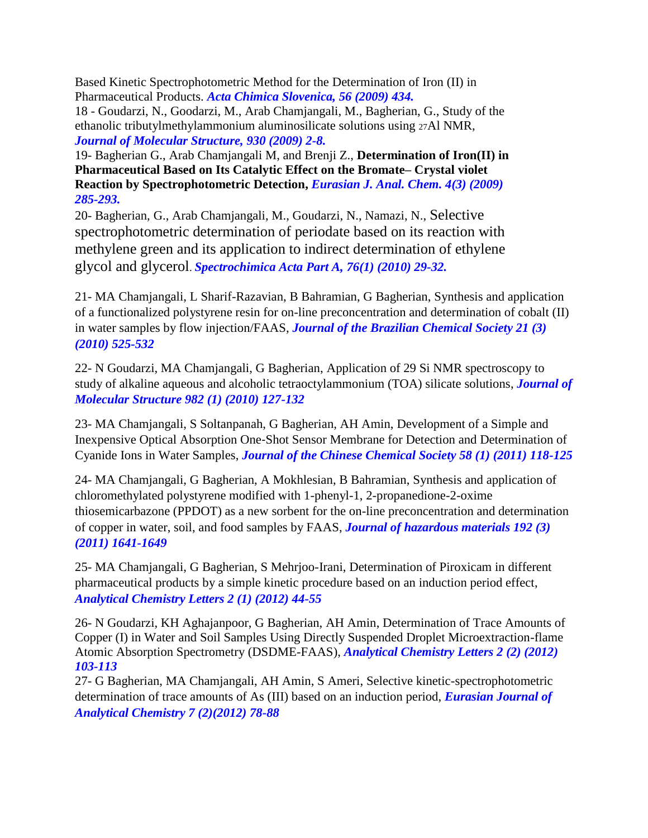Based Kinetic Spectrophotometric Method for the Determination of Iron (II) in Pharmaceutical Products. *Acta Chimica Slovenica, 56 (2009) 434.*

18 - Goudarzi, N., Goodarzi, M., Arab Chamjangali, M., Bagherian, G., Study of the ethanolic tributylmethylammonium aluminosilicate solutions using 27Al NMR, *Journal of Molecular Structure, 930 (2009) 2-8.*

19- Bagherian G., Arab Chamjangali M, and Brenji Z., **Determination of Iron(II) in Pharmaceutical Based on Its Catalytic Effect on the Bromate– Crystal violet Reaction by Spectrophotometric Detection,** *Eurasian J. Anal. Chem. 4(3) (2009) 285-293.*

20- Bagherian, G., Arab Chamjangali, M., Goudarzi, N., Namazi, N., Selective spectrophotometric determination of periodate based on its reaction with methylene green and its application to indirect determination of ethylene glycol and glycerol. *Spectrochimica Acta Part A, 76(1) (2010) 29-32.* 

21- MA Chamjangali, L Sharif-Razavian, B Bahramian, G Bagherian, [Synthesis and application](https://scholar.google.com/citations?view_op=view_citation&hl=en&user=u0x7b8YAAAAJ&cstart=20&pagesize=80&sortby=pubdate&citation_for_view=u0x7b8YAAAAJ:Tyk-4Ss8FVUC)  [of a functionalized polystyrene resin for on-line preconcentration and determination of cobalt \(II\)](https://scholar.google.com/citations?view_op=view_citation&hl=en&user=u0x7b8YAAAAJ&cstart=20&pagesize=80&sortby=pubdate&citation_for_view=u0x7b8YAAAAJ:Tyk-4Ss8FVUC)  [in water samples by flow injection/FAAS,](https://scholar.google.com/citations?view_op=view_citation&hl=en&user=u0x7b8YAAAAJ&cstart=20&pagesize=80&sortby=pubdate&citation_for_view=u0x7b8YAAAAJ:Tyk-4Ss8FVUC) *Journal of the Brazilian Chemical Society 21 (3) (2010) 525-532*

22- N Goudarzi, MA Chamjangali, G Bagherian, [Application of 29 Si NMR spectroscopy to](https://scholar.google.com/citations?view_op=view_citation&hl=en&user=u0x7b8YAAAAJ&cstart=20&pagesize=80&sortby=pubdate&citation_for_view=u0x7b8YAAAAJ:aqlVkmm33-oC)  [study of alkaline aqueous and alcoholic tetraoctylammonium \(TOA\) silicate solutions,](https://scholar.google.com/citations?view_op=view_citation&hl=en&user=u0x7b8YAAAAJ&cstart=20&pagesize=80&sortby=pubdate&citation_for_view=u0x7b8YAAAAJ:aqlVkmm33-oC) *Journal of Molecular Structure 982 (1) (2010) 127-132*

23- MA Chamjangali, S Soltanpanah, G Bagherian, AH Amin, [Development of a Simple and](https://scholar.google.com/citations?view_op=view_citation&hl=en&user=u0x7b8YAAAAJ&cstart=20&pagesize=80&sortby=pubdate&citation_for_view=u0x7b8YAAAAJ:kNdYIx-mwKoC)  Inexpensive Optical Absorption One‐[Shot Sensor Membrane for Detection and Determination of](https://scholar.google.com/citations?view_op=view_citation&hl=en&user=u0x7b8YAAAAJ&cstart=20&pagesize=80&sortby=pubdate&citation_for_view=u0x7b8YAAAAJ:kNdYIx-mwKoC)  [Cyanide Ions in Water Samples,](https://scholar.google.com/citations?view_op=view_citation&hl=en&user=u0x7b8YAAAAJ&cstart=20&pagesize=80&sortby=pubdate&citation_for_view=u0x7b8YAAAAJ:kNdYIx-mwKoC) *Journal of the Chinese Chemical Society 58 (1) (2011) 118-125*

24- MA Chamjangali, G Bagherian, A Mokhlesian, B Bahramian, [Synthesis and application of](https://scholar.google.com/citations?view_op=view_citation&hl=en&user=u0x7b8YAAAAJ&cstart=20&pagesize=80&sortby=pubdate&citation_for_view=u0x7b8YAAAAJ:_FxGoFyzp5QC)  [chloromethylated polystyrene modified with 1-phenyl-1, 2-propanedione-2-oxime](https://scholar.google.com/citations?view_op=view_citation&hl=en&user=u0x7b8YAAAAJ&cstart=20&pagesize=80&sortby=pubdate&citation_for_view=u0x7b8YAAAAJ:_FxGoFyzp5QC)  [thiosemicarbazone \(PPDOT\) as a new sorbent for the on-line preconcentration and determination](https://scholar.google.com/citations?view_op=view_citation&hl=en&user=u0x7b8YAAAAJ&cstart=20&pagesize=80&sortby=pubdate&citation_for_view=u0x7b8YAAAAJ:_FxGoFyzp5QC)  [of copper in water, soil, and food samples by FAAS,](https://scholar.google.com/citations?view_op=view_citation&hl=en&user=u0x7b8YAAAAJ&cstart=20&pagesize=80&sortby=pubdate&citation_for_view=u0x7b8YAAAAJ:_FxGoFyzp5QC) *Journal of hazardous materials 192 (3) (2011) 1641-1649*

25- MA Chamjangali, G Bagherian, S Mehrjoo-Irani, [Determination of Piroxicam in different](https://scholar.google.com/citations?view_op=view_citation&hl=en&user=u0x7b8YAAAAJ&cstart=20&pagesize=80&sortby=pubdate&citation_for_view=u0x7b8YAAAAJ:dhFuZR0502QC)  [pharmaceutical products by a simple kinetic procedure based on an induction period effect,](https://scholar.google.com/citations?view_op=view_citation&hl=en&user=u0x7b8YAAAAJ&cstart=20&pagesize=80&sortby=pubdate&citation_for_view=u0x7b8YAAAAJ:dhFuZR0502QC) *Analytical Chemistry Letters 2 (1) (2012) 44-55*

26- N Goudarzi, KH Aghajanpoor, G Bagherian, AH Amin, [Determination of Trace Amounts of](https://scholar.google.com/citations?view_op=view_citation&hl=en&user=RPgtGk4AAAAJ&cstart=20&pagesize=80&citation_for_view=RPgtGk4AAAAJ:_kc_bZDykSQC)  [Copper \(I\) in Water and Soil Samples Using Directly Suspended Droplet Microextraction-flame](https://scholar.google.com/citations?view_op=view_citation&hl=en&user=RPgtGk4AAAAJ&cstart=20&pagesize=80&citation_for_view=RPgtGk4AAAAJ:_kc_bZDykSQC)  [Atomic Absorption Spectrometry \(DSDME-FAAS\),](https://scholar.google.com/citations?view_op=view_citation&hl=en&user=RPgtGk4AAAAJ&cstart=20&pagesize=80&citation_for_view=RPgtGk4AAAAJ:_kc_bZDykSQC) *Analytical Chemistry Letters 2 (2) (2012) 103-113*

27- G Bagherian, MA Chamjangali, AH Amin, S Ameri, [Selective kinetic-spectrophotometric](https://scholar.google.com/citations?view_op=view_citation&hl=en&user=u0x7b8YAAAAJ&cstart=20&pagesize=80&sortby=pubdate&citation_for_view=u0x7b8YAAAAJ:Wp0gIr-vW9MC)  [determination of trace amounts of As \(III\) based on an induction period,](https://scholar.google.com/citations?view_op=view_citation&hl=en&user=u0x7b8YAAAAJ&cstart=20&pagesize=80&sortby=pubdate&citation_for_view=u0x7b8YAAAAJ:Wp0gIr-vW9MC) *Eurasian Journal of Analytical Chemistry 7 (2)(2012) 78-88*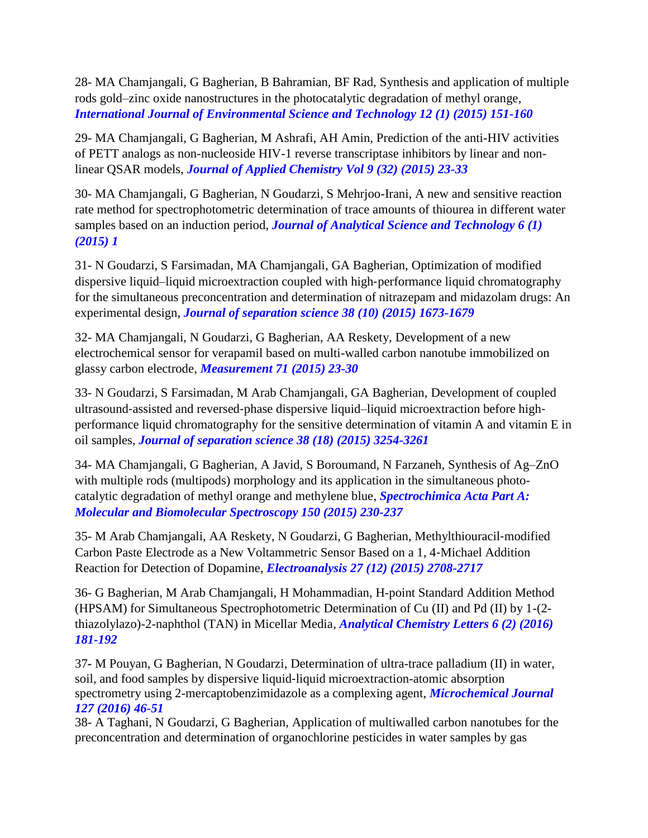28- MA Chamjangali, G Bagherian, B Bahramian, BF Rad, [Synthesis and application of multiple](https://scholar.google.com/citations?view_op=view_citation&hl=en&user=u0x7b8YAAAAJ&sortby=pubdate&citation_for_view=u0x7b8YAAAAJ:bEWYMUwI8FkC)  [rods gold–zinc oxide nanostructures in the photocatalytic degradation of methyl orange,](https://scholar.google.com/citations?view_op=view_citation&hl=en&user=u0x7b8YAAAAJ&sortby=pubdate&citation_for_view=u0x7b8YAAAAJ:bEWYMUwI8FkC) *International Journal of Environmental Science and Technology 12 (1) (2015) 151-160*

29- MA Chamjangali, G Bagherian, M Ashrafi, AH Amin, [Prediction of the anti-HIV activities](https://scholar.google.com/citations?view_op=view_citation&hl=en&user=u0x7b8YAAAAJ&sortby=pubdate&citation_for_view=u0x7b8YAAAAJ:NMxIlDl6LWMC)  [of PETT analogs as non-nucleoside HIV-1 reverse transcriptase inhibitors by linear and non](https://scholar.google.com/citations?view_op=view_citation&hl=en&user=u0x7b8YAAAAJ&sortby=pubdate&citation_for_view=u0x7b8YAAAAJ:NMxIlDl6LWMC)[linear QSAR models,](https://scholar.google.com/citations?view_op=view_citation&hl=en&user=u0x7b8YAAAAJ&sortby=pubdate&citation_for_view=u0x7b8YAAAAJ:NMxIlDl6LWMC) *Journal of Applied Chemistry Vol 9 (32) (2015) 23-33*

30- MA Chamjangali, G Bagherian, N Goudarzi, S Mehrjoo-Irani, [A new and sensitive reaction](https://scholar.google.com/citations?view_op=view_citation&hl=en&user=u0x7b8YAAAAJ&sortby=pubdate&citation_for_view=u0x7b8YAAAAJ:blknAaTinKkC)  [rate method for spectrophotometric determination of trace amounts of thiourea in different water](https://scholar.google.com/citations?view_op=view_citation&hl=en&user=u0x7b8YAAAAJ&sortby=pubdate&citation_for_view=u0x7b8YAAAAJ:blknAaTinKkC)  [samples based on an induction period,](https://scholar.google.com/citations?view_op=view_citation&hl=en&user=u0x7b8YAAAAJ&sortby=pubdate&citation_for_view=u0x7b8YAAAAJ:blknAaTinKkC) *Journal of Analytical Science and Technology 6 (1) (2015) 1*

31- N Goudarzi, S Farsimadan, MA Chamjangali, GA Bagherian, [Optimization of modified](https://scholar.google.com/citations?view_op=view_citation&hl=en&user=u0x7b8YAAAAJ&sortby=pubdate&citation_for_view=u0x7b8YAAAAJ:hMod-77fHWUC)  [dispersive liquid–liquid microextraction coupled with high](https://scholar.google.com/citations?view_op=view_citation&hl=en&user=u0x7b8YAAAAJ&sortby=pubdate&citation_for_view=u0x7b8YAAAAJ:hMod-77fHWUC)‐performance liquid chromatography [for the simultaneous preconcentration and determination of nitrazepam and midazolam drugs: An](https://scholar.google.com/citations?view_op=view_citation&hl=en&user=u0x7b8YAAAAJ&sortby=pubdate&citation_for_view=u0x7b8YAAAAJ:hMod-77fHWUC)  [experimental design,](https://scholar.google.com/citations?view_op=view_citation&hl=en&user=u0x7b8YAAAAJ&sortby=pubdate&citation_for_view=u0x7b8YAAAAJ:hMod-77fHWUC) *Journal of separation science 38 (10) (2015) 1673-1679*

32- MA Chamjangali, N Goudarzi, G Bagherian, AA Reskety, [Development of a new](https://scholar.google.com/citations?view_op=view_citation&hl=en&user=u0x7b8YAAAAJ&sortby=pubdate&citation_for_view=u0x7b8YAAAAJ:BqipwSGYUEgC)  [electrochemical sensor for verapamil based on multi-walled carbon nanotube immobilized on](https://scholar.google.com/citations?view_op=view_citation&hl=en&user=u0x7b8YAAAAJ&sortby=pubdate&citation_for_view=u0x7b8YAAAAJ:BqipwSGYUEgC)  [glassy carbon electrode,](https://scholar.google.com/citations?view_op=view_citation&hl=en&user=u0x7b8YAAAAJ&sortby=pubdate&citation_for_view=u0x7b8YAAAAJ:BqipwSGYUEgC) *Measurement 71 (2015) 23-30*

33- N Goudarzi, S Farsimadan, M Arab Chamjangali, GA Bagherian, [Development of coupled](https://scholar.google.com/citations?view_op=view_citation&hl=en&user=u0x7b8YAAAAJ&sortby=pubdate&citation_for_view=u0x7b8YAAAAJ:NaGl4SEjCO4C)  ultrasound‐assisted and reversed‐[phase dispersive liquid–liquid microextraction before high](https://scholar.google.com/citations?view_op=view_citation&hl=en&user=u0x7b8YAAAAJ&sortby=pubdate&citation_for_view=u0x7b8YAAAAJ:NaGl4SEjCO4C)‐ [performance liquid chromatography for the sensitive determination of vitamin A and vitamin E in](https://scholar.google.com/citations?view_op=view_citation&hl=en&user=u0x7b8YAAAAJ&sortby=pubdate&citation_for_view=u0x7b8YAAAAJ:NaGl4SEjCO4C)  [oil samples,](https://scholar.google.com/citations?view_op=view_citation&hl=en&user=u0x7b8YAAAAJ&sortby=pubdate&citation_for_view=u0x7b8YAAAAJ:NaGl4SEjCO4C) *Journal of separation science 38 (18) (2015) 3254-3261*

34- MA Chamjangali, G Bagherian, A Javid, S Boroumand, N Farzaneh, [Synthesis of Ag–ZnO](https://scholar.google.com/citations?view_op=view_citation&hl=en&user=u0x7b8YAAAAJ&sortby=pubdate&citation_for_view=u0x7b8YAAAAJ:ns9cj8rnVeAC)  [with multiple rods \(multipods\) morphology and its application in the simultaneous photo](https://scholar.google.com/citations?view_op=view_citation&hl=en&user=u0x7b8YAAAAJ&sortby=pubdate&citation_for_view=u0x7b8YAAAAJ:ns9cj8rnVeAC)[catalytic degradation of methyl orange and methylene blue,](https://scholar.google.com/citations?view_op=view_citation&hl=en&user=u0x7b8YAAAAJ&sortby=pubdate&citation_for_view=u0x7b8YAAAAJ:ns9cj8rnVeAC) *Spectrochimica Acta Part A: Molecular and Biomolecular Spectroscopy 150 (2015) 230-237*

35- M Arab Chamjangali, AA Reskety, N Goudarzi, G Bagherian, [Methylthiouracil](https://scholar.google.com/citations?view_op=view_citation&hl=en&user=u0x7b8YAAAAJ&sortby=pubdate&citation_for_view=u0x7b8YAAAAJ:RGFaLdJalmkC)‐modified [Carbon Paste Electrode as a New Voltammetric Sensor Based on a 1, 4](https://scholar.google.com/citations?view_op=view_citation&hl=en&user=u0x7b8YAAAAJ&sortby=pubdate&citation_for_view=u0x7b8YAAAAJ:RGFaLdJalmkC)‐Michael Addition [Reaction for Detection of Dopamine,](https://scholar.google.com/citations?view_op=view_citation&hl=en&user=u0x7b8YAAAAJ&sortby=pubdate&citation_for_view=u0x7b8YAAAAJ:RGFaLdJalmkC) *Electroanalysis 27 (12) (2015) 2708-2717*

36- G Bagherian, M Arab Chamjangali, H Mohammadian, [H-point Standard Addition Method](https://scholar.google.com/citations?view_op=view_citation&hl=en&user=u0x7b8YAAAAJ&sortby=pubdate&citation_for_view=u0x7b8YAAAAJ:g5m5HwL7SMYC)  [\(HPSAM\) for Simultaneous Spectrophotometric Determination of Cu \(II\) and Pd \(II\) by 1-\(2](https://scholar.google.com/citations?view_op=view_citation&hl=en&user=u0x7b8YAAAAJ&sortby=pubdate&citation_for_view=u0x7b8YAAAAJ:g5m5HwL7SMYC) [thiazolylazo\)-2-naphthol \(TAN\) in Micellar Media,](https://scholar.google.com/citations?view_op=view_citation&hl=en&user=u0x7b8YAAAAJ&sortby=pubdate&citation_for_view=u0x7b8YAAAAJ:g5m5HwL7SMYC) *Analytical Chemistry Letters 6 (2) (2016) 181-192*

37*-* M Pouyan, G Bagherian, N Goudarzi, [Determination of ultra-trace palladium \(II\) in water,](https://scholar.google.com/citations?view_op=view_citation&hl=en&user=RPgtGk4AAAAJ&cstart=20&pagesize=80&citation_for_view=RPgtGk4AAAAJ:blknAaTinKkC)  [soil, and food samples by dispersive liquid](https://scholar.google.com/citations?view_op=view_citation&hl=en&user=RPgtGk4AAAAJ&cstart=20&pagesize=80&citation_for_view=RPgtGk4AAAAJ:blknAaTinKkC)‐liquid microextraction-atomic absorption [spectrometry using 2-mercaptobenzimidazole as a complexing agent,](https://scholar.google.com/citations?view_op=view_citation&hl=en&user=RPgtGk4AAAAJ&cstart=20&pagesize=80&citation_for_view=RPgtGk4AAAAJ:blknAaTinKkC) *Microchemical Journal 127 (2016) 46-51*

38- A Taghani, N Goudarzi, G Bagherian, [Application of multiwalled carbon nanotubes for the](https://scholar.google.com/citations?view_op=view_citation&hl=en&user=RPgtGk4AAAAJ&cstart=20&pagesize=80&citation_for_view=RPgtGk4AAAAJ:O3NaXMp0MMsC)  [preconcentration and determination of organochlorine pesticides in water samples by gas](https://scholar.google.com/citations?view_op=view_citation&hl=en&user=RPgtGk4AAAAJ&cstart=20&pagesize=80&citation_for_view=RPgtGk4AAAAJ:O3NaXMp0MMsC)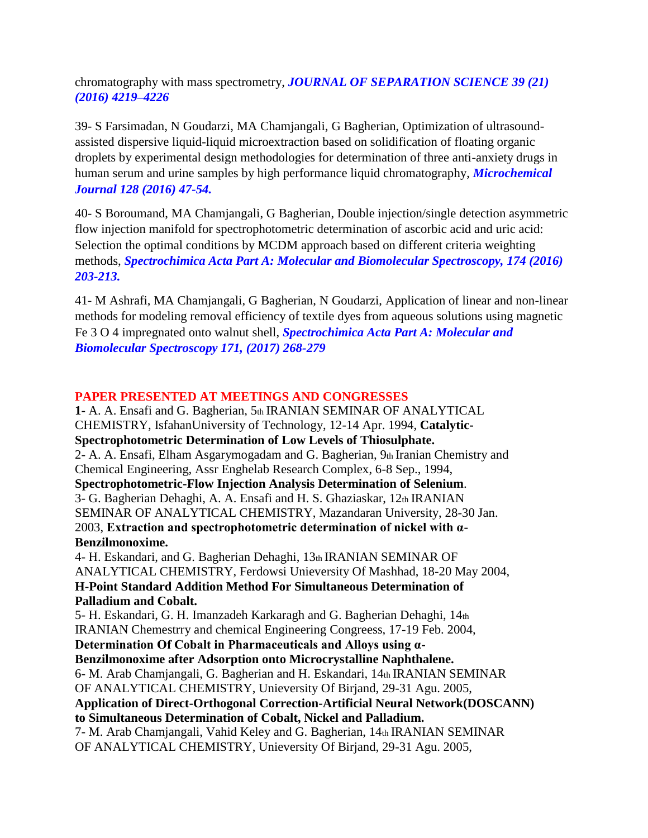[chromatography with mass spectrometry,](https://scholar.google.com/citations?view_op=view_citation&hl=en&user=RPgtGk4AAAAJ&cstart=20&pagesize=80&citation_for_view=RPgtGk4AAAAJ:O3NaXMp0MMsC) *JOURNAL OF SEPARATION SCIENCE 39 (21) (2016) 4219–4226*

39- S Farsimadan, N Goudarzi, MA Chamjangali, G Bagherian, [Optimization of ultrasound](https://scholar.google.com/citations?view_op=view_citation&hl=en&user=u0x7b8YAAAAJ&sortby=pubdate&citation_for_view=u0x7b8YAAAAJ:70eg2SAEIzsC)[assisted dispersive liquid-liquid microextraction based on solidification](https://scholar.google.com/citations?view_op=view_citation&hl=en&user=u0x7b8YAAAAJ&sortby=pubdate&citation_for_view=u0x7b8YAAAAJ:70eg2SAEIzsC) of floating organic [droplets by experimental design methodologies for determination of three anti-anxiety drugs in](https://scholar.google.com/citations?view_op=view_citation&hl=en&user=u0x7b8YAAAAJ&sortby=pubdate&citation_for_view=u0x7b8YAAAAJ:70eg2SAEIzsC)  [human serum and urine samples by high performance liquid chromatography,](https://scholar.google.com/citations?view_op=view_citation&hl=en&user=u0x7b8YAAAAJ&sortby=pubdate&citation_for_view=u0x7b8YAAAAJ:70eg2SAEIzsC) *Microchemical Journal 128 (2016) 47-54.*

40- S Boroumand, MA Chamjangali, G Bagherian, [Double injection/single detection asymmetric](https://scholar.google.com/citations?view_op=view_citation&hl=en&user=u0x7b8YAAAAJ&sortby=pubdate&citation_for_view=u0x7b8YAAAAJ:SeFeTyx0c_EC)  [flow injection manifold for spectrophotometric determination of ascorbic acid and uric acid:](https://scholar.google.com/citations?view_op=view_citation&hl=en&user=u0x7b8YAAAAJ&sortby=pubdate&citation_for_view=u0x7b8YAAAAJ:SeFeTyx0c_EC)  [Selection the optimal conditions by MCDM approach based on different criteria weighting](https://scholar.google.com/citations?view_op=view_citation&hl=en&user=u0x7b8YAAAAJ&sortby=pubdate&citation_for_view=u0x7b8YAAAAJ:SeFeTyx0c_EC)  [methods,](https://scholar.google.com/citations?view_op=view_citation&hl=en&user=u0x7b8YAAAAJ&sortby=pubdate&citation_for_view=u0x7b8YAAAAJ:SeFeTyx0c_EC) *Spectrochimica Acta Part A: Molecular and Biomolecular Spectroscopy, 174 (2016) 203-213.*

41- M Ashrafi, MA Chamjangali, G Bagherian, N Goudarzi, [Application of linear and non-linear](https://scholar.google.com/citations?view_op=view_citation&hl=en&user=u0x7b8YAAAAJ&sortby=pubdate&citation_for_view=u0x7b8YAAAAJ:pqnbT2bcN3wC)  methods for [modeling removal efficiency of textile dyes from aqueous solutions using magnetic](https://scholar.google.com/citations?view_op=view_citation&hl=en&user=u0x7b8YAAAAJ&sortby=pubdate&citation_for_view=u0x7b8YAAAAJ:pqnbT2bcN3wC)  [Fe 3 O 4 impregnated onto walnut shell,](https://scholar.google.com/citations?view_op=view_citation&hl=en&user=u0x7b8YAAAAJ&sortby=pubdate&citation_for_view=u0x7b8YAAAAJ:pqnbT2bcN3wC) *Spectrochimica Acta Part A: Molecular and Biomolecular Spectroscopy 171, (2017) 268-279*

### **PAPER PRESENTED AT MEETINGS AND CONGRESSES**

**1-** A. A. Ensafi and G. Bagherian, 5th IRANIAN SEMINAR OF ANALYTICAL CHEMISTRY, IsfahanUniversity of Technology, 12-14 Apr. 1994, **Catalytic-Spectrophotometric Determination of Low Levels of Thiosulphate.** 2- A. A. Ensafi, Elham Asgarymogadam and G. Bagherian, 9th Iranian Chemistry and Chemical Engineering, Assr Enghelab Research Complex, 6-8 Sep., 1994, **Spectrophotometric-Flow Injection Analysis Determination of Selenium**. 3- G. Bagherian Dehaghi, A. A. Ensafi and H. S. Ghaziaskar, 12th IRANIAN SEMINAR OF ANALYTICAL CHEMISTRY, Mazandaran University, 28-30 Jan. 2003, **Extraction and spectrophotometric determination of nickel with α-Benzilmonoxime.** 4- H. Eskandari, and G. Bagherian Dehaghi, 13th IRANIAN SEMINAR OF ANALYTICAL CHEMISTRY, Ferdowsi Unieversity Of Mashhad, 18-20 May 2004, **H-Point Standard Addition Method For Simultaneous Determination of**

#### **Palladium and Cobalt.**

5- H. Eskandari, G. H. Imanzadeh Karkaragh and G. Bagherian Dehaghi, 14th IRANIAN Chemestrry and chemical Engineering Congreess, 17-19 Feb. 2004,

**Determination Of Cobalt in Pharmaceuticals and Alloys using α-Benzilmonoxime after Adsorption onto Microcrystalline Naphthalene.** 6- M. Arab Chamjangali, G. Bagherian and H. Eskandari, 14th IRANIAN SEMINAR OF ANALYTICAL CHEMISTRY, Unieversity Of Birjand, 29-31 Agu. 2005, **Application of Direct-Orthogonal Correction-Artificial Neural Network(DOSCANN) to Simultaneous Determination of Cobalt, Nickel and Palladium.** 7- M. Arab Chamjangali, Vahid Keley and G. Bagherian, 14th IRANIAN SEMINAR OF ANALYTICAL CHEMISTRY, Unieversity Of Birjand, 29-31 Agu. 2005,